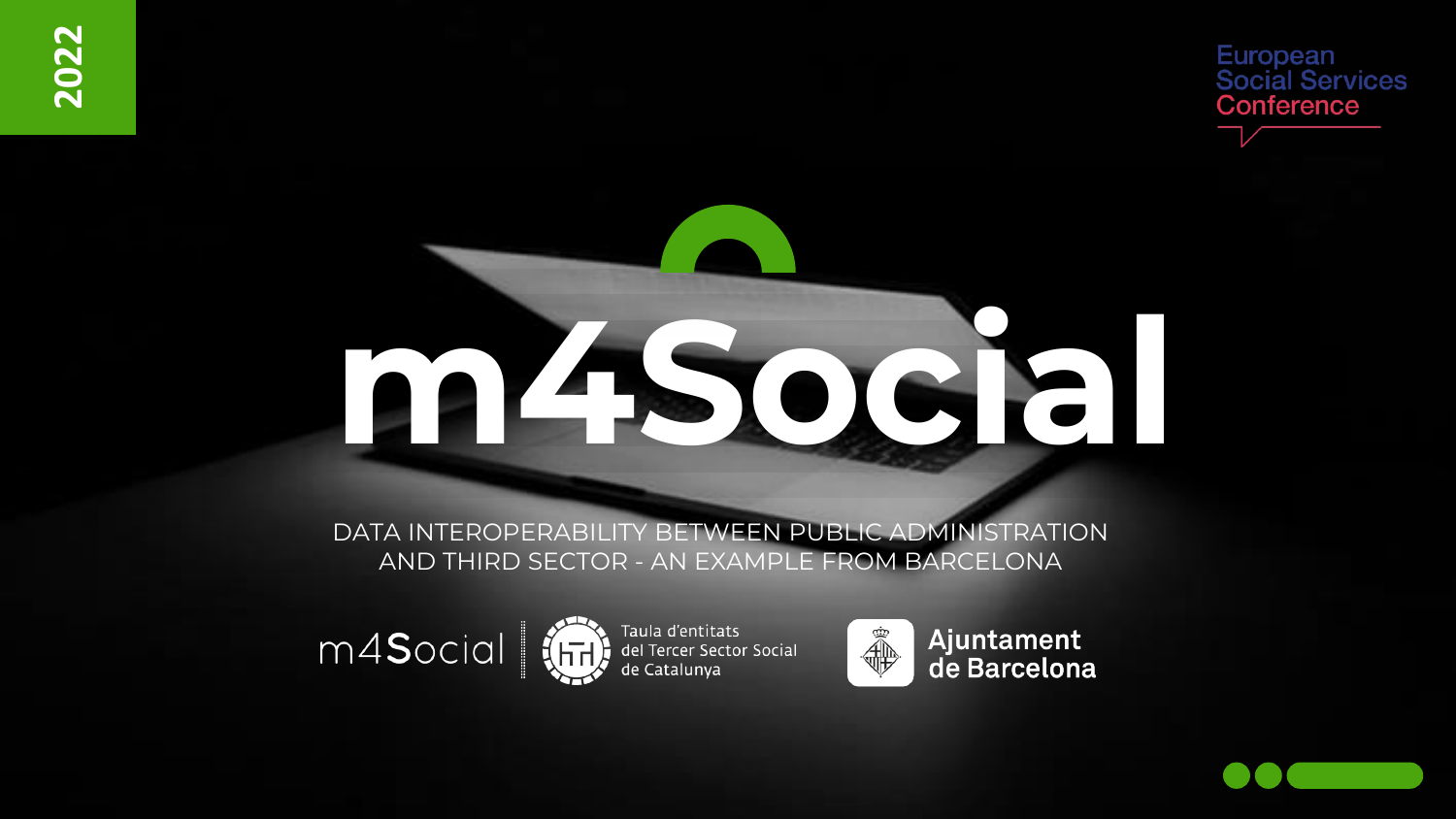European **Social Services** Conference

# **m4Social**

DATA INTEROPERABILITY BETWEEN PUBLIC ADMINISTRATION AND THIRD SECTOR - AN EXAMPLE FROM BARCELONA





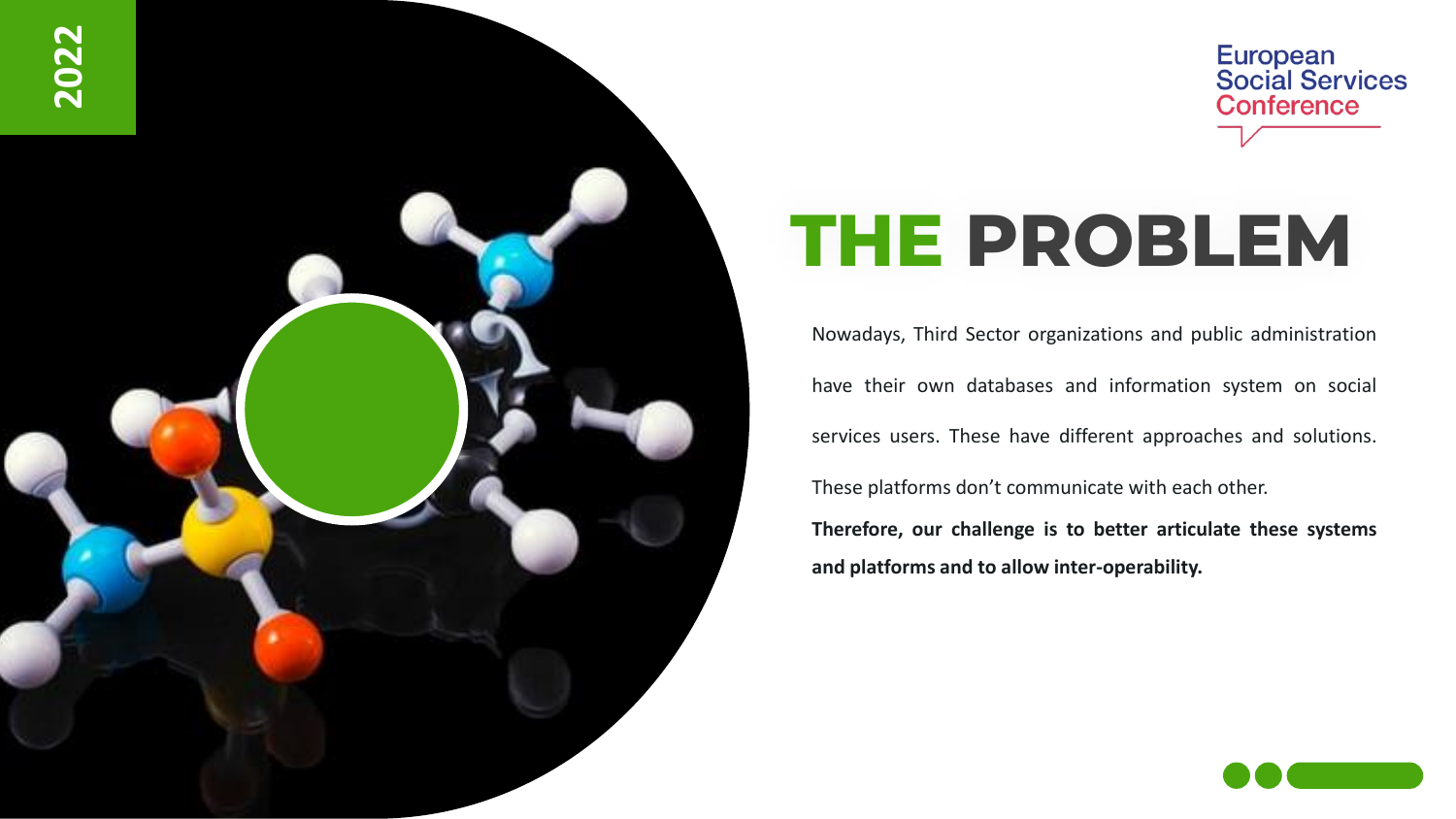

### European<br>Social Services **Conference**

## **THE PROBLEM**

Nowadays, Third Sector organizations and public administration have their own databases and information system on social services users. These have different approaches and solutions. These platforms don't communicate with each other. **Therefore, our challenge is to better articulate these systems and platforms and to allow inter-operability.**

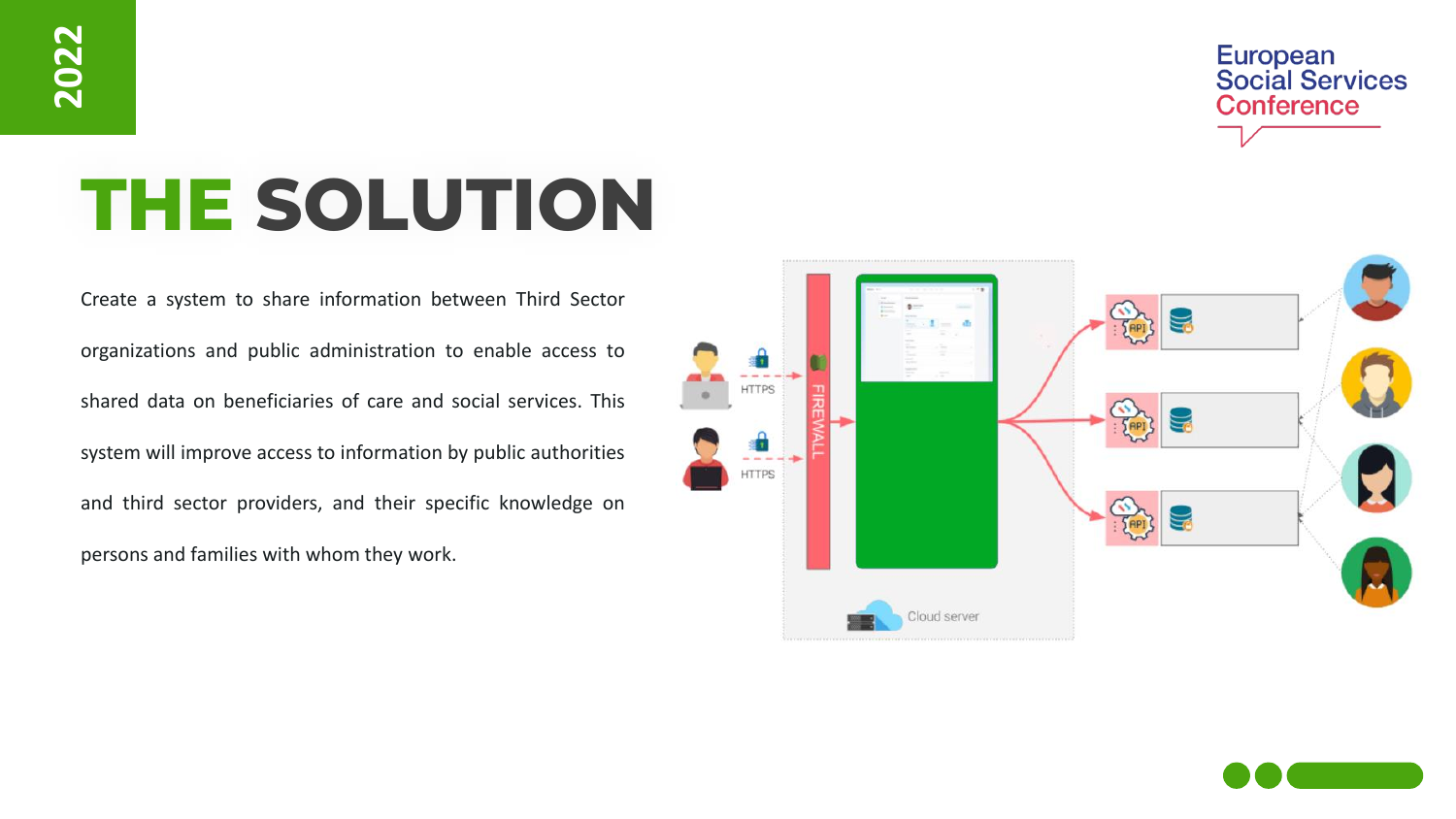European<br>Social Services **Conference** 

## **THE SOLUTION**

Create a system to share information between Third Sector organizations and public administration to enable access to shared data on beneficiaries of care and social services. This system will improve access to information by public authorities and third sector providers, and their specific knowledge on persons and families with whom they work.



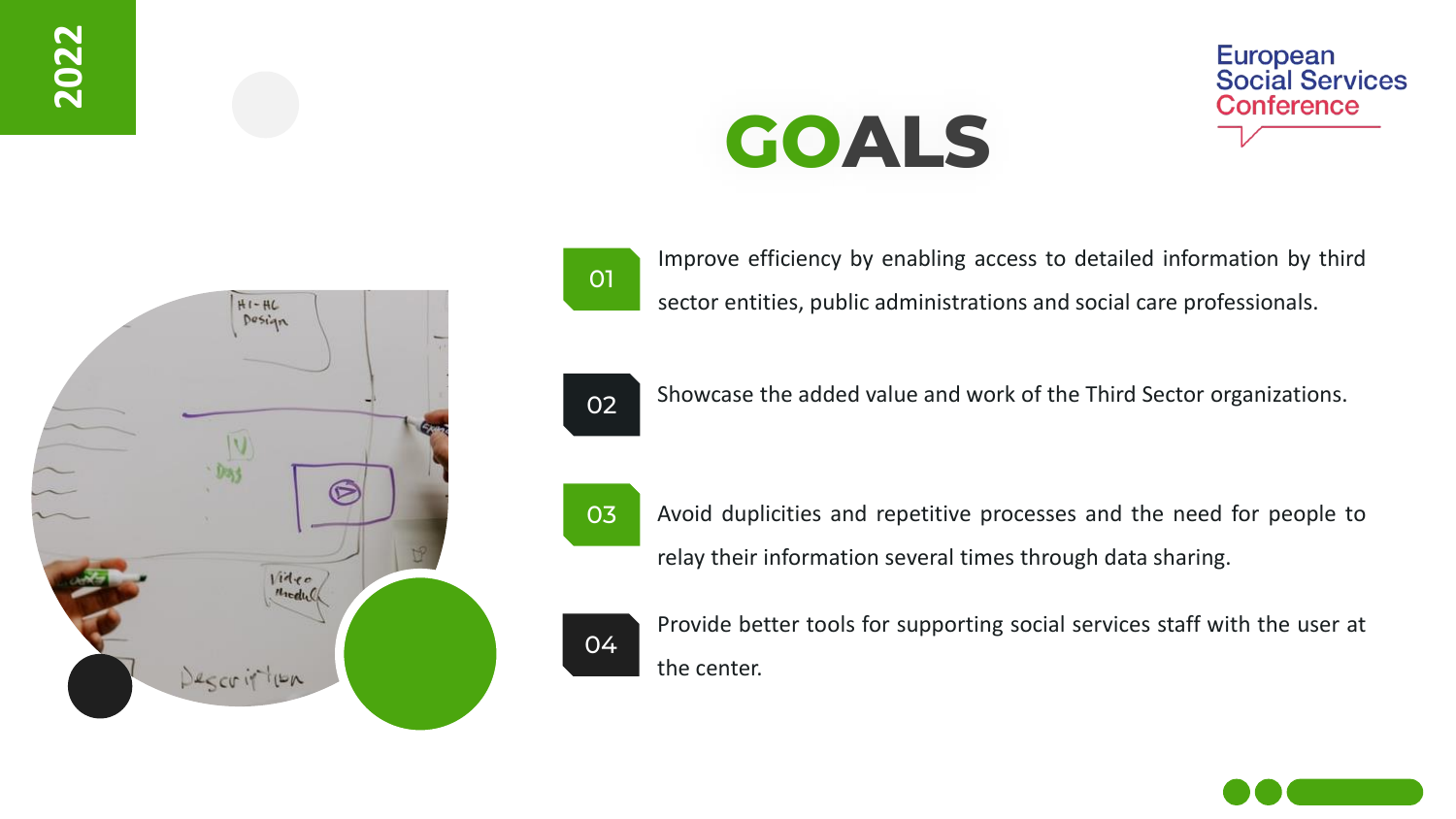





Improve efficiency by enabling access to detailed information by third sector entities, public administrations and social care professionals.

**GOALS**



Showcase the added value and work of the Third Sector organizations.



Avoid duplicities and repetitive processes and the need for people to relay their information several times through data sharing.



Provide better tools for supporting social services staff with the user at the center.

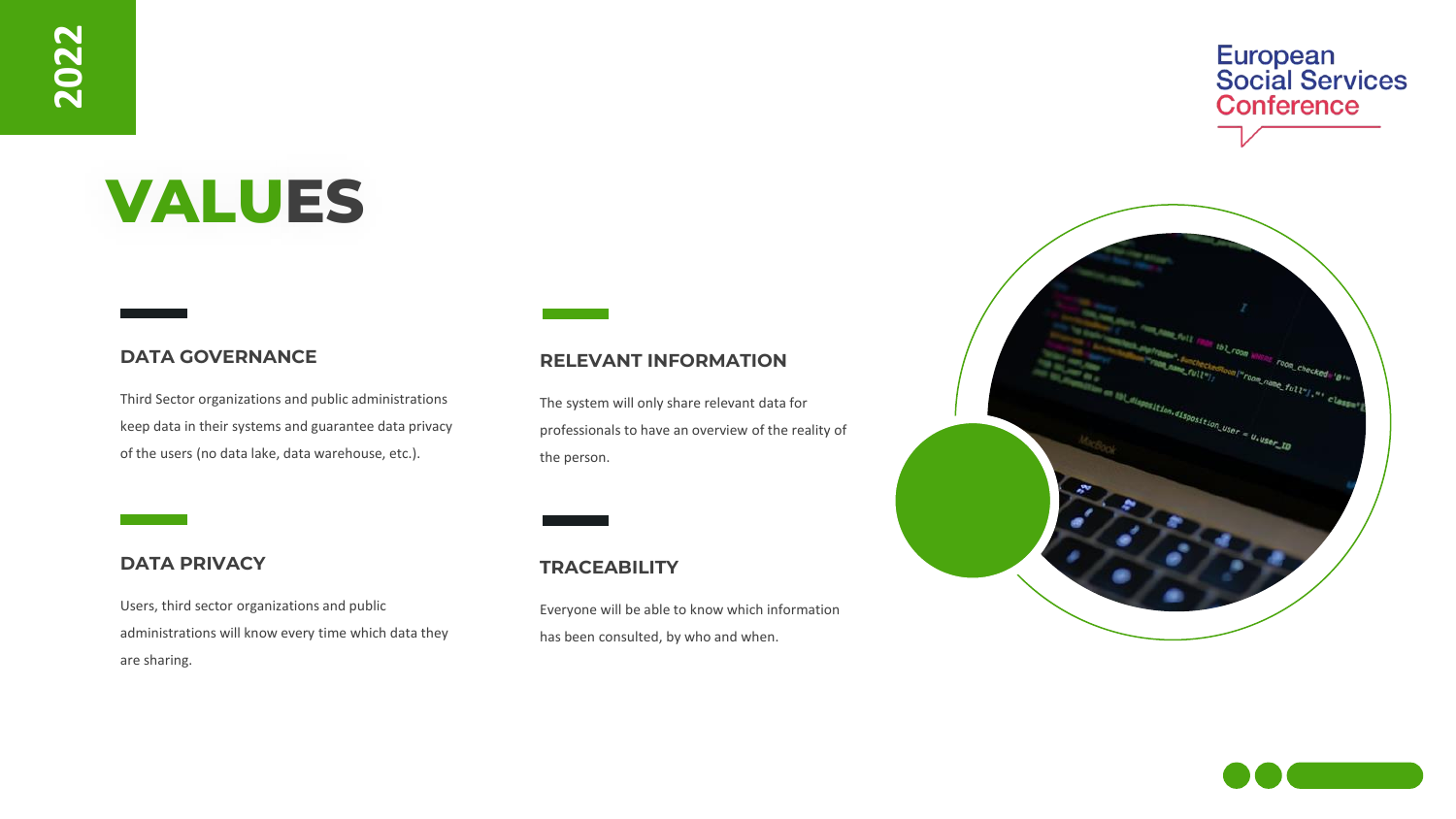## **VALUES**

#### **DATA GOVERNANCE**

Third Sector organizations and public administrations keep data in their systems and guarantee data privacy of the users (no data lake, data warehouse, etc.).

#### **RELEVANT INFORMATION**

The system will only share relevant data for professionals to have an overview of the reality of the person.

#### **DATA PRIVACY**

Users, third sector organizations and public administrations will know every time which data they are sharing.

#### **TRACEABILITY**

Everyone will be able to know which information has been consulted, by who and when.





European<br>Social Services

**Conference**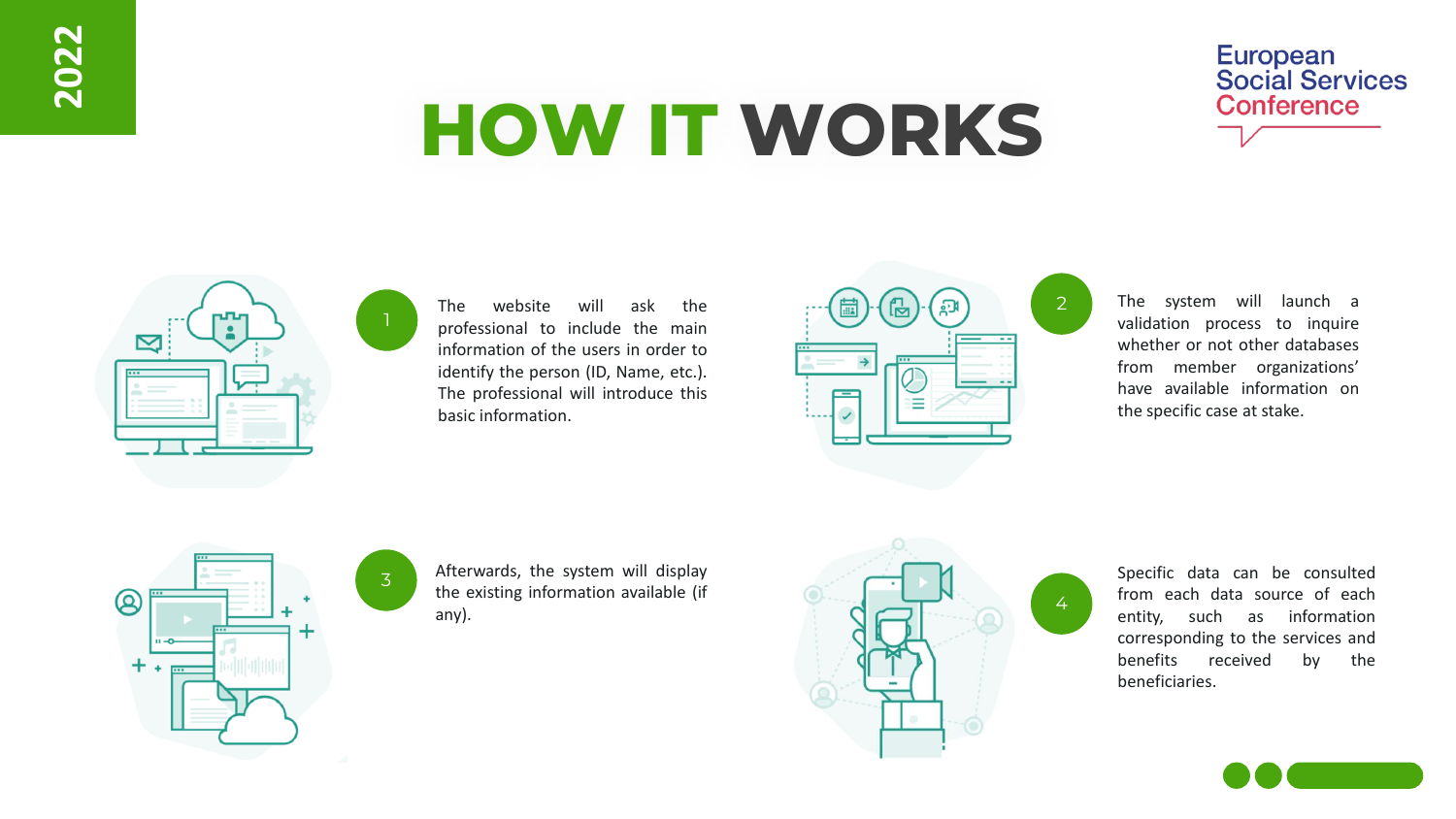## **HOW IT WORKS**





The website will ask the professional to include the main information of the users in order to identify the person (ID, Name, etc.). The professional will introduce this basic information.



2

4

The system will launch a validation process to inquire whether or not other databases from member organizations' have available information on the specific case at stake.



3

1

Afterwards, the system will display the existing information available (if any).



Specific data can be consulted from each data source of each entity, such as information corresponding to the services and benefits received by the beneficiaries.